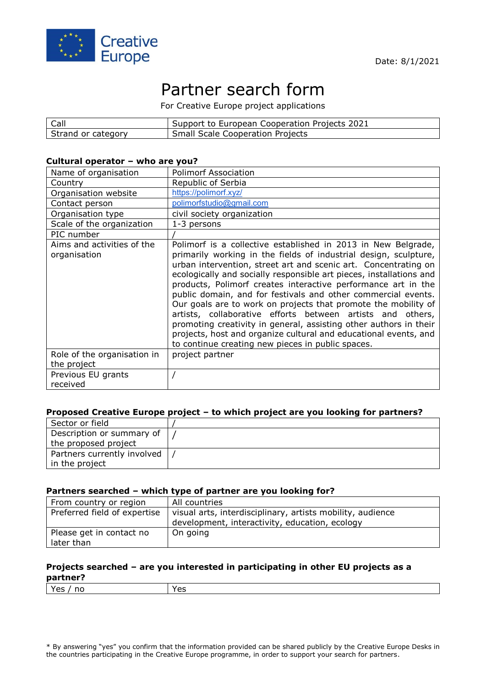

# Partner search form

For Creative Europe project applications

| Call               | Support to European Cooperation Projects 2021 |
|--------------------|-----------------------------------------------|
| Strand or category | <b>Small Scale Cooperation Projects</b>       |

### **Cultural operator – who are you?**

| Name of organisation                       | <b>Polimorf Association</b>                                                                                                                                                                                                                                                                                                                                                                                                                                                                                                                                                                                                                                                                                                                 |
|--------------------------------------------|---------------------------------------------------------------------------------------------------------------------------------------------------------------------------------------------------------------------------------------------------------------------------------------------------------------------------------------------------------------------------------------------------------------------------------------------------------------------------------------------------------------------------------------------------------------------------------------------------------------------------------------------------------------------------------------------------------------------------------------------|
| Country                                    | Republic of Serbia                                                                                                                                                                                                                                                                                                                                                                                                                                                                                                                                                                                                                                                                                                                          |
| Organisation website                       | https://polimorf.xyz/                                                                                                                                                                                                                                                                                                                                                                                                                                                                                                                                                                                                                                                                                                                       |
| Contact person                             | polimorfstudio@gmail.com                                                                                                                                                                                                                                                                                                                                                                                                                                                                                                                                                                                                                                                                                                                    |
| Organisation type                          | civil society organization                                                                                                                                                                                                                                                                                                                                                                                                                                                                                                                                                                                                                                                                                                                  |
| Scale of the organization                  | 1-3 persons                                                                                                                                                                                                                                                                                                                                                                                                                                                                                                                                                                                                                                                                                                                                 |
| PIC number                                 |                                                                                                                                                                                                                                                                                                                                                                                                                                                                                                                                                                                                                                                                                                                                             |
| Aims and activities of the<br>organisation | Polimorf is a collective established in 2013 in New Belgrade,<br>primarily working in the fields of industrial design, sculpture,<br>urban intervention, street art and scenic art. Concentrating on<br>ecologically and socially responsible art pieces, installations and<br>products, Polimorf creates interactive performance art in the<br>public domain, and for festivals and other commercial events.<br>Our goals are to work on projects that promote the mobility of<br>artists, collaborative efforts between artists and others,<br>promoting creativity in general, assisting other authors in their<br>projects, host and organize cultural and educational events, and<br>to continue creating new pieces in public spaces. |
| Role of the organisation in<br>the project | project partner                                                                                                                                                                                                                                                                                                                                                                                                                                                                                                                                                                                                                                                                                                                             |
| Previous EU grants<br>received             |                                                                                                                                                                                                                                                                                                                                                                                                                                                                                                                                                                                                                                                                                                                                             |

### **Proposed Creative Europe project – to which project are you looking for partners?**

| Sector or field                                   |  |
|---------------------------------------------------|--|
| Description or summary of<br>the proposed project |  |
| Partners currently involved                       |  |
| in the project                                    |  |

#### **Partners searched – which type of partner are you looking for?**

| From country or region                 | All countries                                                                                                |
|----------------------------------------|--------------------------------------------------------------------------------------------------------------|
| Preferred field of expertise           | visual arts, interdisciplinary, artists mobility, audience<br>development, interactivity, education, ecology |
| Please get in contact no<br>later than | On going                                                                                                     |

## **Projects searched – are you interested in participating in other EU projects as a partner?**

| Yes<br>no<br>155<br>1 C S |
|---------------------------|
|---------------------------|